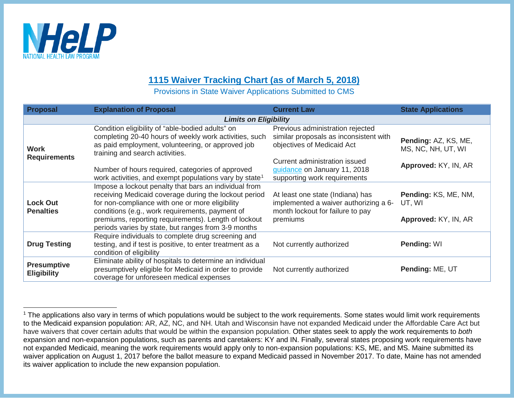

## <span id="page-0-0"></span>**1115 Waiver Tracking Chart (as of March 5, 2018)**

Provisions in State Waiver Applications Submitted to CMS

| <b>Proposal</b>                          | <b>Explanation of Proposal</b>                                                                                                                                                                                                                                                                                                      | <b>Current Law</b>                                                                                                        | <b>State Applications</b>                              |  |  |
|------------------------------------------|-------------------------------------------------------------------------------------------------------------------------------------------------------------------------------------------------------------------------------------------------------------------------------------------------------------------------------------|---------------------------------------------------------------------------------------------------------------------------|--------------------------------------------------------|--|--|
| <b>Limits on Eligibility</b>             |                                                                                                                                                                                                                                                                                                                                     |                                                                                                                           |                                                        |  |  |
| <b>Work</b><br><b>Requirements</b>       | Condition eligibility of "able-bodied adults" on<br>completing 20-40 hours of weekly work activities, such<br>as paid employment, volunteering, or approved job<br>training and search activities.                                                                                                                                  | Previous administration rejected<br>similar proposals as inconsistent with<br>objectives of Medicaid Act                  | Pending: AZ, KS, ME,<br>MS, NC, NH, UT, WI             |  |  |
|                                          | Number of hours required, categories of approved<br>work activities, and exempt populations vary by state <sup>1</sup>                                                                                                                                                                                                              | Current administration issued<br>guidance on January 11, 2018<br>supporting work requirements                             | Approved: KY, IN, AR                                   |  |  |
| <b>Lock Out</b><br><b>Penalties</b>      | Impose a lockout penalty that bars an individual from<br>receiving Medicaid coverage during the lockout period<br>for non-compliance with one or more eligibility<br>conditions (e.g., work requirements, payment of<br>premiums, reporting requirements). Length of lockout<br>periods varies by state, but ranges from 3-9 months | At least one state (Indiana) has<br>implemented a waiver authorizing a 6-<br>month lockout for failure to pay<br>premiums | Pending: KS, ME, NM,<br>UT, WI<br>Approved: KY, IN, AR |  |  |
| <b>Drug Testing</b>                      | Require individuals to complete drug screening and<br>testing, and if test is positive, to enter treatment as a<br>condition of eligibility                                                                                                                                                                                         | Not currently authorized                                                                                                  | Pending: WI                                            |  |  |
| <b>Presumptive</b><br><b>Eligibility</b> | Eliminate ability of hospitals to determine an individual<br>presumptively eligible for Medicaid in order to provide<br>coverage for unforeseen medical expenses                                                                                                                                                                    | Not currently authorized                                                                                                  | Pending: ME, UT                                        |  |  |

<sup>&</sup>lt;sup>1</sup> The applications also vary in terms of which populations would be subject to the work requirements. Some states would limit work requirements to the Medicaid expansion population: AR, AZ, NC, and NH. Utah and Wisconsin have not expanded Medicaid under the Affordable Care Act but have waivers that cover certain adults that would be within the expansion population. Other states seek to apply the work requirements to *both* expansion and non-expansion populations, such as parents and caretakers: KY and IN. Finally, several states proposing work requirements have not expanded Medicaid, meaning the work requirements would apply only to non-expansion populations: KS, ME, and MS. Maine submitted its waiver application on August 1, 2017 before the ballot measure to expand Medicaid passed in November 2017. To date, Maine has not amended its waiver application to include the new expansion population.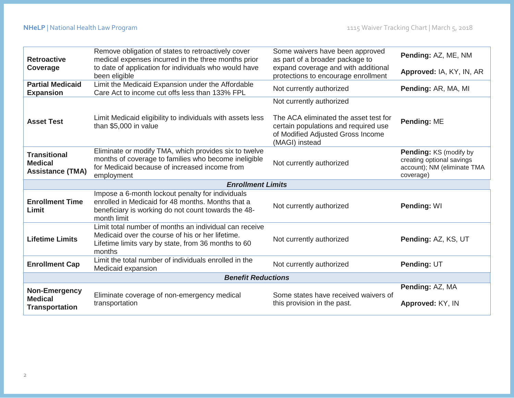| <b>Retroactive</b>                                               | Remove obligation of states to retroactively cover<br>medical expenses incurred in the three months prior                                                                    | Some waivers have been approved<br>as part of a broader package to                                                                   | Pending: AZ, ME, NM                                                                             |  |
|------------------------------------------------------------------|------------------------------------------------------------------------------------------------------------------------------------------------------------------------------|--------------------------------------------------------------------------------------------------------------------------------------|-------------------------------------------------------------------------------------------------|--|
| Coverage                                                         | to date of application for individuals who would have<br>been eligible                                                                                                       | expand coverage and with additional<br>protections to encourage enrollment                                                           | Approved: IA, KY, IN, AR                                                                        |  |
| <b>Partial Medicaid</b><br><b>Expansion</b>                      | Limit the Medicaid Expansion under the Affordable<br>Care Act to income cut offs less than 133% FPL                                                                          | Not currently authorized                                                                                                             | Pending: AR, MA, MI                                                                             |  |
|                                                                  |                                                                                                                                                                              | Not currently authorized                                                                                                             |                                                                                                 |  |
| <b>Asset Test</b>                                                | Limit Medicaid eligibility to individuals with assets less<br>than \$5,000 in value                                                                                          | The ACA eliminated the asset test for<br>certain populations and required use<br>of Modified Adjusted Gross Income<br>(MAGI) instead | Pending: ME                                                                                     |  |
| <b>Transitional</b><br><b>Medical</b><br><b>Assistance (TMA)</b> | Eliminate or modify TMA, which provides six to twelve<br>months of coverage to families who become ineligible<br>for Medicaid because of increased income from<br>employment | Not currently authorized                                                                                                             | Pending: KS (modify by<br>creating optional savings<br>account); NM (eliminate TMA<br>coverage) |  |
| <b>Enrollment Limits</b>                                         |                                                                                                                                                                              |                                                                                                                                      |                                                                                                 |  |
|                                                                  |                                                                                                                                                                              |                                                                                                                                      |                                                                                                 |  |
| <b>Enrollment Time</b><br>Limit                                  | Impose a 6-month lockout penalty for individuals<br>enrolled in Medicaid for 48 months. Months that a<br>beneficiary is working do not count towards the 48-<br>month limit  | Not currently authorized                                                                                                             | Pending: WI                                                                                     |  |
| <b>Lifetime Limits</b>                                           | Limit total number of months an individual can receive<br>Medicaid over the course of his or her lifetime.<br>Lifetime limits vary by state, from 36 months to 60<br>months  | Not currently authorized                                                                                                             | Pending: AZ, KS, UT                                                                             |  |
| <b>Enrollment Cap</b>                                            | Limit the total number of individuals enrolled in the<br>Medicaid expansion                                                                                                  | Not currently authorized                                                                                                             | Pending: UT                                                                                     |  |
|                                                                  | <b>Benefit Reductions</b>                                                                                                                                                    |                                                                                                                                      |                                                                                                 |  |
| Non-Emergency                                                    | Eliminate coverage of non-emergency medical                                                                                                                                  | Some states have received waivers of                                                                                                 | Pending: AZ, MA                                                                                 |  |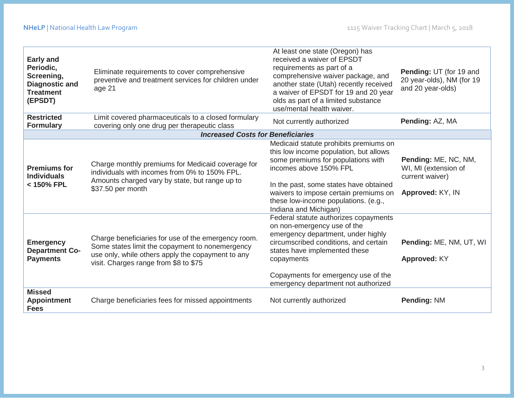| <b>Early and</b><br>Periodic,<br>Screening,<br><b>Diagnostic and</b><br><b>Treatment</b><br>(EPSDT) | Eliminate requirements to cover comprehensive<br>preventive and treatment services for children under<br>age 21                                                                                      | At least one state (Oregon) has<br>received a waiver of EPSDT<br>requirements as part of a<br>comprehensive waiver package, and<br>another state (Utah) recently received<br>a waiver of EPSDT for 19 and 20 year<br>olds as part of a limited substance<br>use/mental health waiver.                | Pending: UT (for 19 and<br>20 year-olds), NM (for 19<br>and 20 year-olds)           |
|-----------------------------------------------------------------------------------------------------|------------------------------------------------------------------------------------------------------------------------------------------------------------------------------------------------------|------------------------------------------------------------------------------------------------------------------------------------------------------------------------------------------------------------------------------------------------------------------------------------------------------|-------------------------------------------------------------------------------------|
| <b>Restricted</b><br><b>Formulary</b>                                                               | Limit covered pharmaceuticals to a closed formulary<br>covering only one drug per therapeutic class                                                                                                  | Not currently authorized                                                                                                                                                                                                                                                                             | Pending: AZ, MA                                                                     |
|                                                                                                     | <b>Increased Costs for Beneficiaries</b>                                                                                                                                                             |                                                                                                                                                                                                                                                                                                      |                                                                                     |
| <b>Premiums for</b><br><b>Individuals</b><br>< 150% FPL                                             | Charge monthly premiums for Medicaid coverage for<br>individuals with incomes from 0% to 150% FPL.<br>Amounts charged vary by state, but range up to<br>\$37.50 per month                            | Medicaid statute prohibits premiums on<br>this low income population, but allows<br>some premiums for populations with<br>incomes above 150% FPL<br>In the past, some states have obtained<br>waivers to impose certain premiums on<br>these low-income populations. (e.g.,<br>Indiana and Michigan) | Pending: ME, NC, NM,<br>WI, MI (extension of<br>current waiver)<br>Approved: KY, IN |
| <b>Emergency</b><br><b>Department Co-</b><br><b>Payments</b>                                        | Charge beneficiaries for use of the emergency room.<br>Some states limit the copayment to nonemergency<br>use only, while others apply the copayment to any<br>visit. Charges range from \$8 to \$75 | Federal statute authorizes copayments<br>on non-emergency use of the<br>emergency department, under highly<br>circumscribed conditions, and certain<br>states have implemented these<br>copayments<br>Copayments for emergency use of the<br>emergency department not authorized                     | Pending: ME, NM, UT, WI<br>Approved: KY                                             |
| <b>Missed</b><br><b>Appointment</b><br><b>Fees</b>                                                  | Charge beneficiaries fees for missed appointments                                                                                                                                                    | Not currently authorized                                                                                                                                                                                                                                                                             | <b>Pending: NM</b>                                                                  |